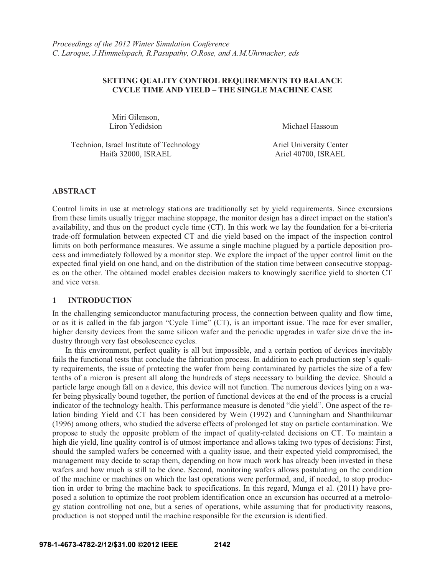# **SETTING QUALITY CONTROL REQUIREMENTS TO BALANCE CYCLE TIME AND YIELD – THE SINGLE MACHINE CASE**

Miri Gilenson,

Liron Yedidsion Michael Hassoun

Technion, Israel Institute of Technology Ariel University Center Haifa 32000, ISRAEL Ariel 40700, ISRAEL

# **ABSTRACT**

Control limits in use at metrology stations are traditionally set by yield requirements. Since excursions from these limits usually trigger machine stoppage, the monitor design has a direct impact on the station's availability, and thus on the product cycle time (CT). In this work we lay the foundation for a bi-criteria trade-off formulation between expected CT and die yield based on the impact of the inspection control limits on both performance measures. We assume a single machine plagued by a particle deposition process and immediately followed by a monitor step. We explore the impact of the upper control limit on the expected final yield on one hand, and on the distribution of the station time between consecutive stoppages on the other. The obtained model enables decision makers to knowingly sacrifice yield to shorten CT and vice versa.

# **1 INTRODUCTION**

In the challenging semiconductor manufacturing process, the connection between quality and flow time, or as it is called in the fab jargon "Cycle Time" (CT), is an important issue. The race for ever smaller, higher density devices from the same silicon wafer and the periodic upgrades in wafer size drive the industry through very fast obsolescence cycles.

 In this environment, perfect quality is all but impossible, and a certain portion of devices inevitably fails the functional tests that conclude the fabrication process. In addition to each production step's quality requirements, the issue of protecting the wafer from being contaminated by particles the size of a few tenths of a micron is present all along the hundreds of steps necessary to building the device. Should a particle large enough fall on a device, this device will not function. The numerous devices lying on a wafer being physically bound together, the portion of functional devices at the end of the process is a crucial indicator of the technology health. This performance measure is denoted "die yield". One aspect of the relation binding Yield and CT has been considered by Wein (1992) and Cunningham and Shanthikumar (1996) among others, who studied the adverse effects of prolonged lot stay on particle contamination. We propose to study the opposite problem of the impact of quality-related decisions on CT. To maintain a high die yield, line quality control is of utmost importance and allows taking two types of decisions: First, should the sampled wafers be concerned with a quality issue, and their expected yield compromised, the management may decide to scrap them, depending on how much work has already been invested in these wafers and how much is still to be done. Second, monitoring wafers allows postulating on the condition of the machine or machines on which the last operations were performed, and, if needed, to stop production in order to bring the machine back to specifications. In this regard, Munga et al. (2011) have proposed a solution to optimize the root problem identification once an excursion has occurred at a metrology station controlling not one, but a series of operations, while assuming that for productivity reasons, production is not stopped until the machine responsible for the excursion is identified.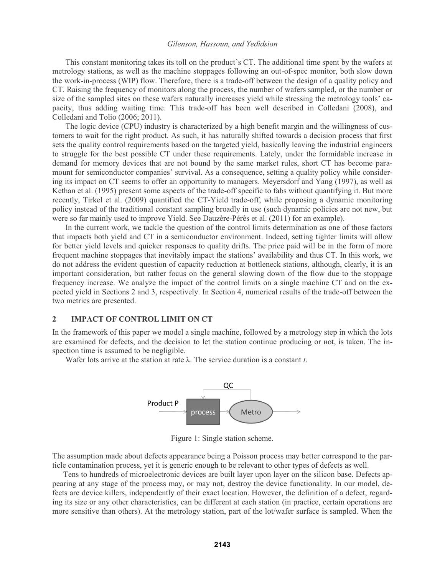This constant monitoring takes its toll on the product's CT. The additional time spent by the wafers at metrology stations, as well as the machine stoppages following an out-of-spec monitor, both slow down the work-in-process (WIP) flow. Therefore, there is a trade-off between the design of a quality policy and CT. Raising the frequency of monitors along the process, the number of wafers sampled, or the number or size of the sampled sites on these wafers naturally increases yield while stressing the metrology tools' capacity, thus adding waiting time. This trade-off has been well described in Colledani (2008), and Colledani and Tolio (2006; 2011).

 The logic device (CPU) industry is characterized by a high benefit margin and the willingness of customers to wait for the right product. As such, it has naturally shifted towards a decision process that first sets the quality control requirements based on the targeted yield, basically leaving the industrial engineers to struggle for the best possible CT under these requirements. Lately, under the formidable increase in demand for memory devices that are not bound by the same market rules, short CT has become paramount for semiconductor companies' survival. As a consequence, setting a quality policy while considering its impact on CT seems to offer an opportunity to managers. Meyersdorf and Yang (1997), as well as Kethan et al. (1995) present some aspects of the trade-off specific to fabs without quantifying it. But more recently, Tirkel et al. (2009) quantified the CT-Yield trade-off, while proposing a dynamic monitoring policy instead of the traditional constant sampling broadly in use (such dynamic policies are not new, but were so far mainly used to improve Yield. See Dauzère-Pérès et al. (2011) for an example).

 In the current work, we tackle the question of the control limits determination as one of those factors that impacts both yield and CT in a semiconductor environment. Indeed, setting tighter limits will allow for better yield levels and quicker responses to quality drifts. The price paid will be in the form of more frequent machine stoppages that inevitably impact the stations' availability and thus CT. In this work, we do not address the evident question of capacity reduction at bottleneck stations, although, clearly, it is an important consideration, but rather focus on the general slowing down of the flow due to the stoppage frequency increase. We analyze the impact of the control limits on a single machine CT and on the expected yield in Sections 2 and 3, respectively. In Section 4, numerical results of the trade-off between the two metrics are presented.

## **2 IMPACT OF CONTROL LIMIT ON CT**

In the framework of this paper we model a single machine, followed by a metrology step in which the lots are examined for defects, and the decision to let the station continue producing or not, is taken. The inspection time is assumed to be negligible.

Wafer lots arrive at the station at rate λ. The service duration is a constant *t*.



Figure 1: Single station scheme.

The assumption made about defects appearance being a Poisson process may better correspond to the particle contamination process, yet it is generic enough to be relevant to other types of defects as well.

 Tens to hundreds of microelectronic devices are built layer upon layer on the silicon base. Defects appearing at any stage of the process may, or may not, destroy the device functionality. In our model, defects are device killers, independently of their exact location. However, the definition of a defect, regarding its size or any other characteristics, can be different at each station (in practice, certain operations are more sensitive than others). At the metrology station, part of the lot/wafer surface is sampled. When the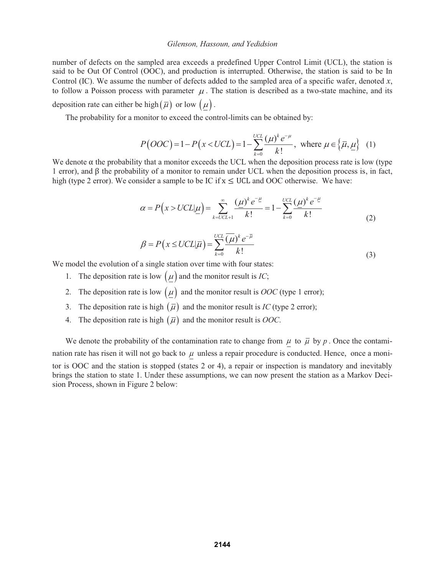number of defects on the sampled area exceeds a predefined Upper Control Limit (UCL), the station is said to be Out Of Control (OOC), and production is interrupted. Otherwise, the station is said to be In Control (IC). We assume the number of defects added to the sampled area of a specific wafer, denoted *x*, to follow a Poisson process with parameter  $\mu$ . The station is described as a two-state machine, and its deposition rate can either be high  $(\bar{\mu})$  or low  $(\mu)$ .

The probability for a monitor to exceed the control-limits can be obtained by:

$$
P\big( OOC \big) = 1 - P\big(x < UCL\big) = 1 - \sum_{k=0}^{UCL} \frac{(\mu)^k e^{-\mu}}{k!}, \text{ where } \mu \in \left\{ \overline{\mu}, \underline{\mu} \right\} \tag{1}
$$

We denote  $\alpha$  the probability that a monitor exceeds the UCL when the deposition process rate is low (type 1 error), and  $\beta$  the probability of a monitor to remain under UCL when the deposition process is, in fact, high (type 2 error). We consider a sample to be IC if  $x \leq UCL$  and OOC otherwise. We have:

$$
\alpha = P(x > UCL | \underline{\mu}) = \sum_{k=UCL+1}^{\infty} \frac{(\underline{\mu})^k e^{-\underline{\mu}}}{k!} = 1 - \sum_{k=0}^{UCL} \frac{(\underline{\mu})^k e^{-\underline{\mu}}}{k!}
$$
(2)

$$
\beta = P\left(x \le UCL|\overline{\mu}\right) = \sum_{k=0}^{UCL} \frac{(\mu)^k e^{-\mu}}{k!}
$$
\n(3)

We model the evolution of a single station over time with four states:

- 1. The deposition rate is low  $(\mu)$  and the monitor result is *IC*;
- 2. The deposition rate is low  $(\mu)$  and the monitor result is *OOC* (type 1 error);
- 3. The deposition rate is high  $(\bar{\mu})$  and the monitor result is *IC* (type 2 error);
- 4. The deposition rate is high  $(\bar{\mu})$  and the monitor result is *OOC*.

We denote the probability of the contamination rate to change from  $\mu$  to  $\bar{\mu}$  by  $p$ . Once the contamination rate has risen it will not go back to  $\mu$  unless a repair procedure is conducted. Hence, once a monitor is OOC and the station is stopped (states 2 or 4), a repair or inspection is mandatory and inevitably brings the station to state 1. Under these assumptions, we can now present the station as a Markov Decision Process, shown in Figure 2 below: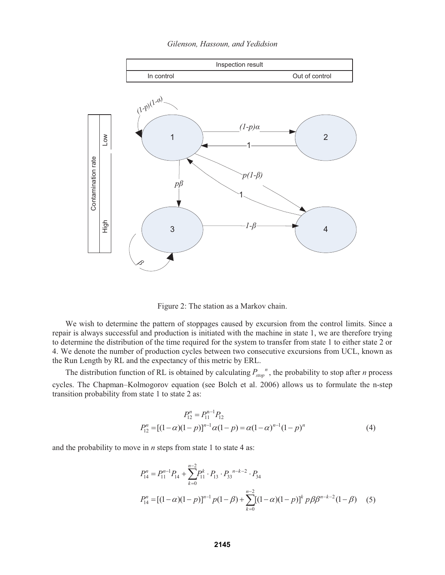*Gilenson, Hassoun, and Yedidsion* 



Figure 2: The station as a Markov chain.

 We wish to determine the pattern of stoppages caused by excursion from the control limits. Since a repair is always successful and production is initiated with the machine in state 1, we are therefore trying to determine the distribution of the time required for the system to transfer from state 1 to either state 2 or 4. We denote the number of production cycles between two consecutive excursions from UCL, known as the Run Length by RL and the expectancy of this metric by ERL.

The distribution function of RL is obtained by calculating  $P_{stop}$ <sup>n</sup>, the probability to stop after *n* process cycles. The Chapman–Kolmogorov equation (see Bolch et al. 2006) allows us to formulate the n-step transition probability from state 1 to state 2 as:

$$
P_{12}^{n} = P_{11}^{n-1} P_{12}
$$
  
\n
$$
P_{12}^{n} = [(1 - \alpha)(1 - p)]^{n-1} \alpha (1 - p) = \alpha (1 - \alpha)^{n-1} (1 - p)^{n}
$$
 (4)

and the probability to move in *n* steps from state 1 to state 4 as:

$$
P_{14}^{n} = P_{11}^{n-1} P_{14} + \sum_{k=0}^{n-2} P_{11}^{k} \cdot P_{13} \cdot P_{33}^{n-k-2} \cdot P_{34}
$$
  

$$
P_{14}^{n} = [(1-\alpha)(1-p)]^{n-1} p(1-\beta) + \sum_{k=0}^{n-2} [(1-\alpha)(1-p)]^{k} p\beta \beta^{n-k-2} (1-\beta) \quad (5)
$$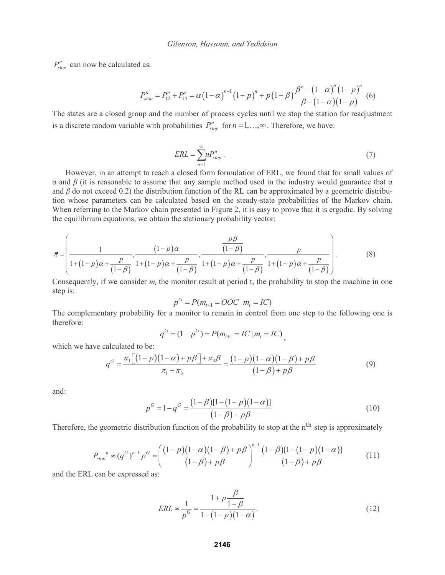$P_{\text{stop}}^n$  can now be calculated as:

$$
P_{stop}^{n} = P_{12}^{n} + P_{14}^{n} = \alpha \left( 1 - \alpha \right)^{n-1} \left( 1 - p \right)^{n} + p \left( 1 - \beta \right) \frac{\beta^{n} - \left( 1 - \alpha \right)^{n} \left( 1 - p \right)^{n}}{\beta - \left( 1 - \alpha \right) \left( 1 - p \right)} \tag{6}
$$

The states are a closed group and the number of process cycles until we stop the station for readjustment is a discrete random variable with probabilities  $P_{stop}^n$  for  $n = 1, \ldots, \infty$ . Therefore, we have:

$$
ERL = \sum_{n=1}^{\infty} n P_{stop}^n \,. \tag{7}
$$

 However, in an attempt to reach a closed form formulation of ERL, we found that for small values of α and *β* (it is reasonable to assume that any sample method used in the industry would guarantee that  $\alpha$ and  $\beta$  do not exceed 0.2) the distribution function of the RL can be approximated by a geometric distribution whose parameters can be calculated based on the steady-state probabilities of the Markov chain. When referring to the Markov chain presented in Figure 2, it is easy to prove that it is ergodic. By solving the equilibrium equations, we obtain the stationary probability vector:

$$
\vec{\pi} = \left(\frac{1}{1 + (1 - p)\alpha + \frac{p}{(1 - \beta)}}, \frac{(1 - p)\alpha}{1 + (1 - p)\alpha + \frac{p}{(1 - \beta)}}, \frac{\overline{p}\beta}{1 + (1 - p)\alpha + \frac{p}{(1 - \beta)}}, \frac{p}{1 + (1 - p)\alpha + \frac{p}{(1 - \beta)}}\right).
$$
(8)

Consequently, if we consider  $m_t$  the monitor result at period t, the probability to stop the machine in one step is:

$$
p^G = P(m_{t+1} = OOC \mid m_t = IC)
$$

The complementary probability for a monitor to remain in control from one step to the following one is therefore:

$$
q^G = (1 - p^G) = P(m_{t+1} = IC \mid m_t = IC),
$$

which we have calculated to be:

$$
q^G = \frac{\pi_1 \left[ (1-p)(1-\alpha) + p\beta \right] + \pi_3 \beta}{\pi_1 + \pi_3} = \frac{(1-p)(1-\alpha)(1-\beta) + p\beta}{(1-\beta) + p\beta} \tag{9}
$$

and:

$$
p^{G} = 1 - q^{G} = \frac{(1 - \beta)[1 - (1 - p)(1 - \alpha)]}{(1 - \beta) + p\beta} \tag{10}
$$

Therefore, the geometric distribution function of the probability to stop at the n<sup>th</sup> step is approximately

$$
P_{stop}^n \approx (q^G)^{n-1} p^G = \left(\frac{(1-p)(1-\alpha)(1-\beta)+p\beta}{(1-\beta)+p\beta}\right)^{n-1} \frac{(1-\beta)[1-(1-p)(1-\alpha)]}{(1-\beta)+p\beta} \tag{11}
$$

and the ERL can be expressed as:

$$
ERL \approx \frac{1}{p^G} = \frac{1 + p\frac{\beta}{1 - \beta}}{1 - (1 - p)(1 - \alpha)}.
$$
\n(12)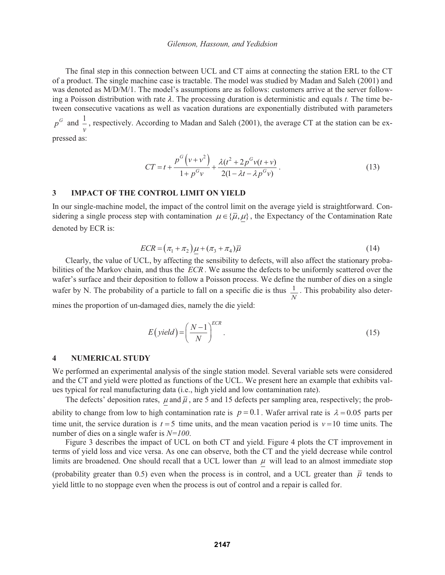The final step in this connection between UCL and CT aims at connecting the station ERL to the CT of a product. The single machine case is tractable. The model was studied by Madan and Saleh (2001) and was denoted as  $M/D/M/1$ . The model's assumptions are as follows: customers arrive at the server following a Poisson distribution with rate  $\lambda$ . The processing duration is deterministic and equals *t*. The time between consecutive vacations as well as vacation durations are exponentially distributed with parameters

 $p^G$  and  $\frac{1}{2}$ *v* , respectively. According to Madan and Saleh (2001), the average CT at the station can be expressed as:

$$
CT = t + \frac{p^{G}(\nu + \nu^{2})}{1 + p^{G}\nu} + \frac{\lambda(t^{2} + 2p^{G}\nu(t + \nu)}{2(1 - \lambda t - \lambda p^{G}\nu)}.
$$
\n(13)

### **3 IMPACT OF THE CONTROL LIMIT ON YIELD**

In our single-machine model, the impact of the control limit on the average yield is straightforward. Considering a single process step with contamination  $\mu \in \{\bar{\mu}, \mu\}$ , the Expectancy of the Contamination Rate denoted by ECR is:

$$
ECR = \left(\pi_1 + \pi_2\right)\mu + \left(\pi_3 + \pi_4\right)\overline{\mu}
$$
\n(14)

 Clearly, the value of UCL, by affecting the sensibility to defects, will also affect the stationary probabilities of the Markov chain, and thus the *ECR* . We assume the defects to be uniformly scattered over the wafer's surface and their deposition to follow a Poisson process. We define the number of dies on a single wafer by N. The probability of a particle to fall on a specific die is thus  $1/2$ *N* . This probability also deter-

mines the proportion of un-damaged dies, namely the die yield:

$$
E\left(yield\right) = \left(\frac{N-1}{N}\right)^{ECR}.\tag{15}
$$

#### **4 NUMERICAL STUDY**

We performed an experimental analysis of the single station model. Several variable sets were considered and the CT and yield were plotted as functions of the UCL. We present here an example that exhibits values typical for real manufacturing data (i.e., high yield and low contamination rate).

The defects' deposition rates,  $\mu$  and  $\bar{\mu}$ , are 5 and 15 defects per sampling area, respectively; the probability to change from low to high contamination rate is  $p = 0.1$ . Wafer arrival rate is  $\lambda = 0.05$  parts per time unit, the service duration is  $t = 5$  time units, and the mean vacation period is  $v = 10$  time units. The number of dies on a single wafer is *N=100*.

 Figure 3 describes the impact of UCL on both CT and yield. Figure 4 plots the CT improvement in terms of yield loss and vice versa. As one can observe, both the CT and the yield decrease while control limits are broadened. One should recall that a UCL lower than  $\mu$  will lead to an almost immediate stop (probability greater than 0.5) even when the process is in control, and a UCL greater than  $\bar{\mu}$  tends to yield little to no stoppage even when the process is out of control and a repair is called for.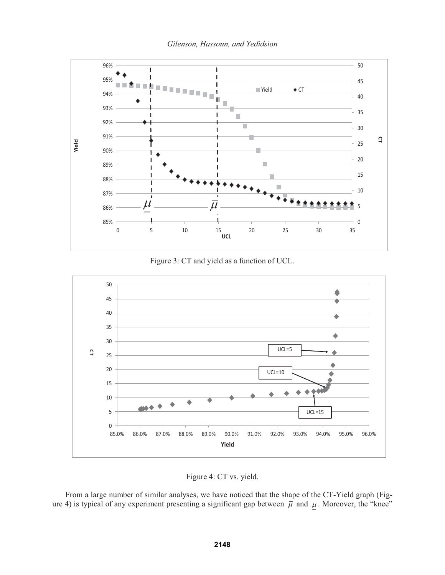*Gilenson, Hassoun, and Yedidsion* 



Figure 3: CT and yield as a function of UCL.



Figure 4: CT vs. yield.

From a large number of similar analyses, we have noticed that the shape of the CT-Yield graph (Figure 4) is typical of any experiment presenting a significant gap between  $\bar{\mu}$  and  $\mu$ . Moreover, the "knee"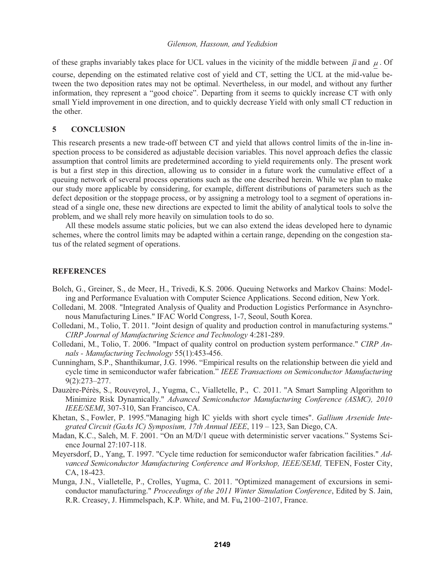of these graphs invariably takes place for UCL values in the vicinity of the middle between  $\bar{\mu}$  and  $\mu$ . Of course, depending on the estimated relative cost of yield and CT, setting the UCL at the mid-value between the two deposition rates may not be optimal. Nevertheless, in our model, and without any further information, they represent a "good choice". Departing from it seems to quickly increase CT with only small Yield improvement in one direction, and to quickly decrease Yield with only small CT reduction in the other.

# **5 CONCLUSION**

This research presents a new trade-off between CT and yield that allows control limits of the in-line inspection process to be considered as adjustable decision variables. This novel approach defies the classic assumption that control limits are predetermined according to yield requirements only. The present work is but a first step in this direction, allowing us to consider in a future work the cumulative effect of a queuing network of several process operations such as the one described herein. While we plan to make our study more applicable by considering, for example, different distributions of parameters such as the defect deposition or the stoppage process, or by assigning a metrology tool to a segment of operations instead of a single one, these new directions are expected to limit the ability of analytical tools to solve the problem, and we shall rely more heavily on simulation tools to do so.

All these models assume static policies, but we can also extend the ideas developed here to dynamic schemes, where the control limits may be adapted within a certain range, depending on the congestion status of the related segment of operations.

## **REFERENCES**

- Bolch, G., Greiner, S., de Meer, H., Trivedi, K.S. 2006. Queuing Networks and Markov Chains: Modeling and Performance Evaluation with Computer Science Applications. Second edition, New York.
- Colledani, M. 2008. "Integrated Analysis of Quality and Production Logistics Performance in Asynchronous Manufacturing Lines." IFAC World Congress, 1-7, Seoul, South Korea.
- Colledani, M., Tolio, T. 2011. "Joint design of quality and production control in manufacturing systems." *CIRP Journal of Manufacturing Science and Technology* 4:281-289.
- Colledani, M., Tolio, T. 2006. "Impact of quality control on production system performance." *CIRP Annals - Manufacturing Technology* 55(1):453-456.
- Cunningham, S.P., Shanthikumar, J.G. 1996. "Empirical results on the relationship between die yield and cycle time in semiconductor wafer fabrication." *IEEE Transactions on Semiconductor Manufacturing* 9(2):273–277.
- Dauzère-Pérès, S., Rouveyrol, J., Yugma, C., Vialletelle, P., C. 2011. "A Smart Sampling Algorithm to Minimize Risk Dynamically." *Advanced Semiconductor Manufacturing Conference (ASMC), 2010 IEEE/SEMI*, 307-310, San Francisco, CA.
- Khetan, S., Fowler, P. 1995."Managing high IC yields with short cycle times". *Gallium Arsenide Integrated Circuit (GaAs IC) Symposium, 17th Annual IEEE*, 119 – 123, San Diego, CA.
- Madan, K.C., Saleh, M. F. 2001. "On an M/D/1 queue with deterministic server vacations." Systems Science Journal 27:107-118.
- Meyersdorf, D., Yang, T. 1997. "Cycle time reduction for semiconductor wafer fabrication facilities." *Ad*vanced Semiconductor Manufacturing Conference and Workshop, IEEE/SEMI, TEFEN, Foster City, CA, 18-423.
- Munga, J.N., Vialletelle, P., Crolles, Yugma, C. 2011. "Optimized management of excursions in semiconductor manufacturing." *Proceedings of the 2011 Winter Simulation Conference*, Edited by S. Jain, R.R. Creasey, J. Himmelspach, K.P. White, and M. Fu**,** 2100–2107, France.